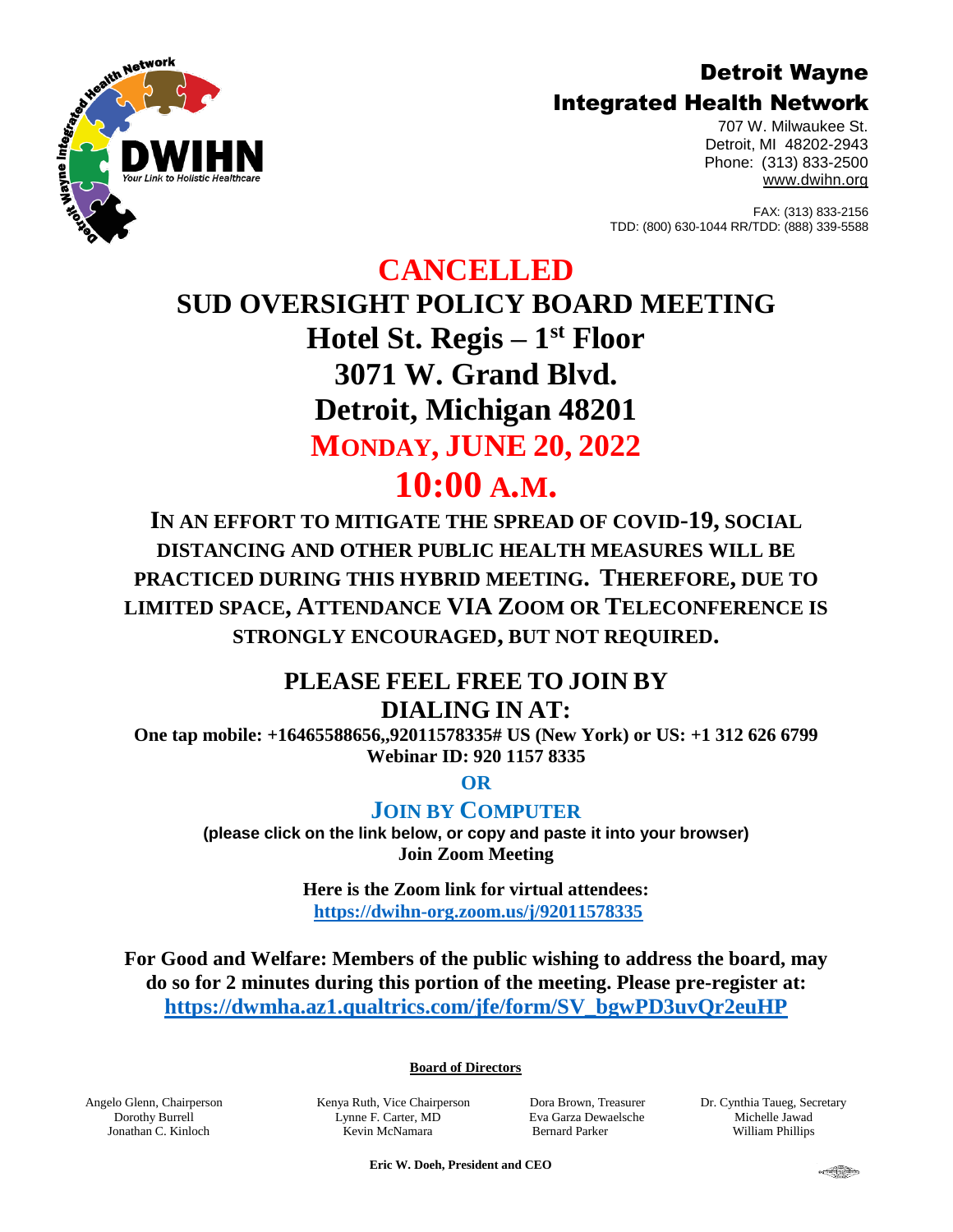#### Detroit Wayne Integrated Health Network



707 W. Milwaukee St. Detroit, MI 48202-2943 Phone: (313) 833-2500 [www.dwihn.org](http://www.dwmha.com/)

FAX: (313) 833-2156 TDD: (800) 630-1044 RR/TDD: (888) 339-5588

## **CANCELLED**

**SUD OVERSIGHT POLICY BOARD MEETING Hotel St. Regis – 1 st Floor 3071 W. Grand Blvd. Detroit, Michigan 48201 MONDAY, JUNE 20, 2022**

# **10:00 A.M.**

**IN AN EFFORT TO MITIGATE THE SPREAD OF COVID-19, SOCIAL DISTANCING AND OTHER PUBLIC HEALTH MEASURES WILL BE PRACTICED DURING THIS HYBRID MEETING. THEREFORE, DUE TO LIMITED SPACE, ATTENDANCE VIA ZOOM OR TELECONFERENCE IS STRONGLY ENCOURAGED, BUT NOT REQUIRED.**

### **PLEASE FEEL FREE TO JOIN BY DIALING IN AT:**

**One tap mobile: +16465588656,,92011578335# US (New York) or US: +1 312 626 6799 Webinar ID: 920 1157 8335**

**OR** 

### **JOIN BY COMPUTER**

**(please click on the link below, or copy and paste it into your browser) Join Zoom Meeting** 

> **Here is the Zoom link for virtual attendees: <https://dwihn-org.zoom.us/j/92011578335>**

**For Good and Welfare: Members of the public wishing to address the board, may do so for 2 minutes during this portion of the meeting. Please pre-register at: [https://dwmha.az1.qualtrics.com/jfe/form/SV\\_bgwPD3uvQr2euHP](https://dwmha.az1.qualtrics.com/jfe/form/SV_bgwPD3uvQr2euHP)**

**Board of Directors**

Angelo Glenn, Chairperson Dorothy Burrell Jonathan C. Kinloch

Kenya Ruth, Vice Chairperson Lynne F. Carter, MD Kevin McNamara

Dora Brown, Treasurer Eva Garza Dewaelsche Bernard Parker

Dr. Cynthia Taueg, Secretary Michelle Jawad William Phillips

 **Eric W. Doeh, President and CEO**